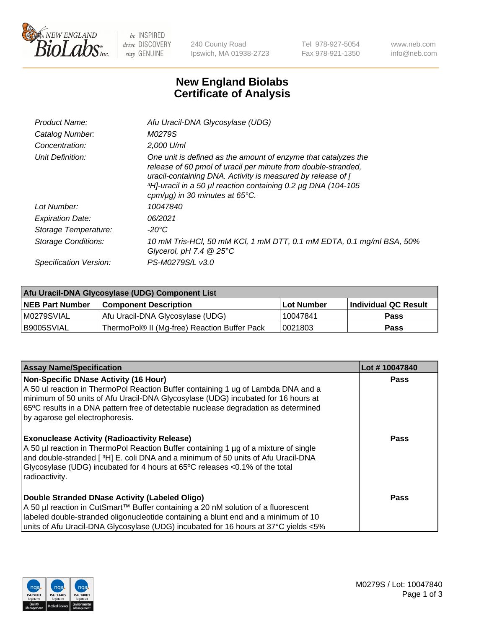

 $be$  INSPIRED drive DISCOVERY stay GENUINE

240 County Road Ipswich, MA 01938-2723 Tel 978-927-5054 Fax 978-921-1350 www.neb.com info@neb.com

## **New England Biolabs Certificate of Analysis**

| Afu Uracil-DNA Glycosylase (UDG)                                                                                                                                                                                                                                                                                     |
|----------------------------------------------------------------------------------------------------------------------------------------------------------------------------------------------------------------------------------------------------------------------------------------------------------------------|
| M0279S                                                                                                                                                                                                                                                                                                               |
| 2,000 U/ml                                                                                                                                                                                                                                                                                                           |
| One unit is defined as the amount of enzyme that catalyzes the<br>release of 60 pmol of uracil per minute from double-stranded,<br>uracil-containing DNA. Activity is measured by release of [<br>3H <sub>1</sub> -uracil in a 50 µl reaction containing 0.2 µg DNA (104-105<br>cpm/ $\mu$ g) in 30 minutes at 65°C. |
| 10047840                                                                                                                                                                                                                                                                                                             |
| 06/2021                                                                                                                                                                                                                                                                                                              |
| -20°C                                                                                                                                                                                                                                                                                                                |
| 10 mM Tris-HCl, 50 mM KCl, 1 mM DTT, 0.1 mM EDTA, 0.1 mg/ml BSA, 50%<br>Glycerol, pH 7.4 $@25^{\circ}C$                                                                                                                                                                                                              |
| PS-M0279S/L v3.0                                                                                                                                                                                                                                                                                                     |
|                                                                                                                                                                                                                                                                                                                      |

| Afu Uracil-DNA Glycosylase (UDG) Component List |                                              |                   |                      |  |  |
|-------------------------------------------------|----------------------------------------------|-------------------|----------------------|--|--|
| <b>NEB Part Number</b>                          | <b>Component Description</b>                 | <b>Lot Number</b> | Individual QC Result |  |  |
| M0279SVIAL                                      | Afu Uracil-DNA Glycosylase (UDG)             | 10047841          | <b>Pass</b>          |  |  |
| I B9005SVIAL                                    | ThermoPol® II (Mg-free) Reaction Buffer Pack | 10021803          | Pass                 |  |  |

| <b>Assay Name/Specification</b>                                                                                                                                                                                                                                                                                                                  | Lot #10047840 |
|--------------------------------------------------------------------------------------------------------------------------------------------------------------------------------------------------------------------------------------------------------------------------------------------------------------------------------------------------|---------------|
| <b>Non-Specific DNase Activity (16 Hour)</b><br>A 50 ul reaction in ThermoPol Reaction Buffer containing 1 ug of Lambda DNA and a<br>minimum of 50 units of Afu Uracil-DNA Glycosylase (UDG) incubated for 16 hours at<br>65°C results in a DNA pattern free of detectable nuclease degradation as determined<br>by agarose gel electrophoresis. | Pass          |
| <b>Exonuclease Activity (Radioactivity Release)</b><br>A 50 µl reaction in ThermoPol Reaction Buffer containing 1 µg of a mixture of single<br>and double-stranded [3H] E. coli DNA and a minimum of 50 units of Afu Uracil-DNA<br>Glycosylase (UDG) incubated for 4 hours at 65°C releases <0.1% of the total<br>radioactivity.                 | Pass          |
| Double Stranded DNase Activity (Labeled Oligo)<br>A 50 µl reaction in CutSmart™ Buffer containing a 20 nM solution of a fluorescent<br>labeled double-stranded oligonucleotide containing a blunt end and a minimum of 10<br>units of Afu Uracil-DNA Glycosylase (UDG) incubated for 16 hours at 37°C yields <5%                                 | Pass          |

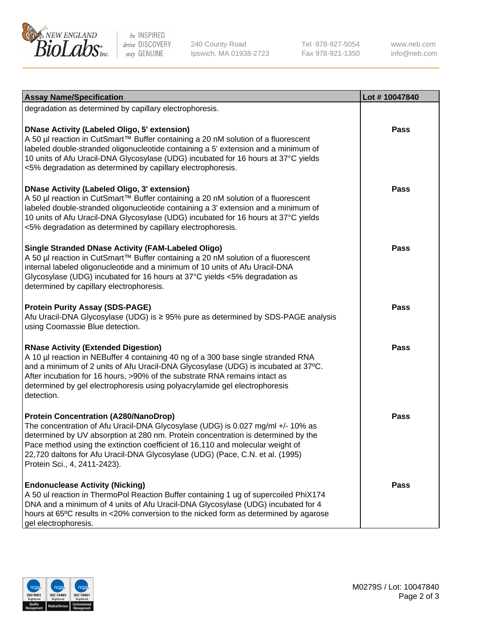

be INSPIRED drive DISCOVERY stay GENUINE

240 County Road Ipswich, MA 01938-2723 Tel 978-927-5054 Fax 978-921-1350

www.neb.com info@neb.com

| <b>Assay Name/Specification</b>                                                                                                                                                                                                                                                                                                                                                                                         | Lot #10047840 |
|-------------------------------------------------------------------------------------------------------------------------------------------------------------------------------------------------------------------------------------------------------------------------------------------------------------------------------------------------------------------------------------------------------------------------|---------------|
| degradation as determined by capillary electrophoresis.                                                                                                                                                                                                                                                                                                                                                                 |               |
| <b>DNase Activity (Labeled Oligo, 5' extension)</b><br>A 50 µl reaction in CutSmart™ Buffer containing a 20 nM solution of a fluorescent<br>labeled double-stranded oligonucleotide containing a 5' extension and a minimum of<br>10 units of Afu Uracil-DNA Glycosylase (UDG) incubated for 16 hours at 37°C yields<br><5% degradation as determined by capillary electrophoresis.                                     | <b>Pass</b>   |
| <b>DNase Activity (Labeled Oligo, 3' extension)</b><br>A 50 µl reaction in CutSmart™ Buffer containing a 20 nM solution of a fluorescent<br>labeled double-stranded oligonucleotide containing a 3' extension and a minimum of<br>10 units of Afu Uracil-DNA Glycosylase (UDG) incubated for 16 hours at 37°C yields<br><5% degradation as determined by capillary electrophoresis.                                     | <b>Pass</b>   |
| <b>Single Stranded DNase Activity (FAM-Labeled Oligo)</b><br>A 50 µl reaction in CutSmart™ Buffer containing a 20 nM solution of a fluorescent<br>internal labeled oligonucleotide and a minimum of 10 units of Afu Uracil-DNA<br>Glycosylase (UDG) incubated for 16 hours at 37°C yields <5% degradation as<br>determined by capillary electrophoresis.                                                                | <b>Pass</b>   |
| <b>Protein Purity Assay (SDS-PAGE)</b><br>Afu Uracil-DNA Glycosylase (UDG) is ≥ 95% pure as determined by SDS-PAGE analysis<br>using Coomassie Blue detection.                                                                                                                                                                                                                                                          | Pass          |
| <b>RNase Activity (Extended Digestion)</b><br>A 10 µl reaction in NEBuffer 4 containing 40 ng of a 300 base single stranded RNA<br>and a minimum of 2 units of Afu Uracil-DNA Glycosylase (UDG) is incubated at 37°C.<br>After incubation for 16 hours, >90% of the substrate RNA remains intact as<br>determined by gel electrophoresis using polyacrylamide gel electrophoresis<br>detection.                         | <b>Pass</b>   |
| <b>Protein Concentration (A280/NanoDrop)</b><br>The concentration of Afu Uracil-DNA Glycosylase (UDG) is 0.027 mg/ml +/- 10% as<br>determined by UV absorption at 280 nm. Protein concentration is determined by the<br>Pace method using the extinction coefficient of 16,110 and molecular weight of<br>22,720 daltons for Afu Uracil-DNA Glycosylase (UDG) (Pace, C.N. et al. (1995)<br>Protein Sci., 4, 2411-2423). | <b>Pass</b>   |
| <b>Endonuclease Activity (Nicking)</b><br>A 50 ul reaction in ThermoPol Reaction Buffer containing 1 ug of supercoiled PhiX174<br>DNA and a minimum of 4 units of Afu Uracil-DNA Glycosylase (UDG) incubated for 4<br>hours at 65°C results in <20% conversion to the nicked form as determined by agarose<br>gel electrophoresis.                                                                                      | Pass          |